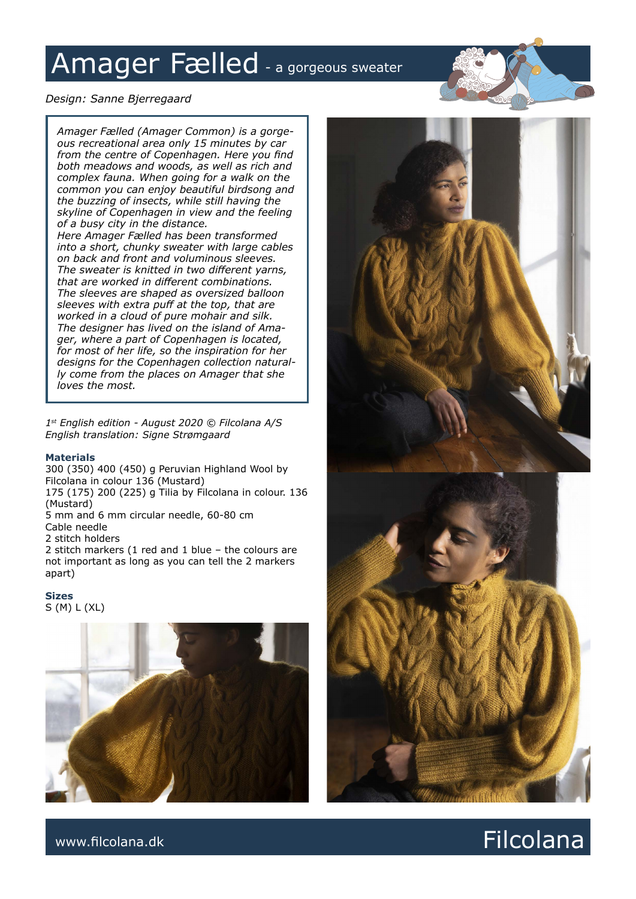# Amager Fælled - a gorgeous sweater

# *Design: Sanne Bjerregaard*

*Amager Fælled (Amager Common) is a gorgeous recreational area only 15 minutes by car from the centre of Copenhagen. Here you find both meadows and woods, as well as rich and complex fauna. When going for a walk on the common you can enjoy beautiful birdsong and the buzzing of insects, while still having the skyline of Copenhagen in view and the feeling of a busy city in the distance. Here Amager Fælled has been transformed into a short, chunky sweater with large cables on back and front and voluminous sleeves. The sweater is knitted in two different yarns, that are worked in different combinations. The sleeves are shaped as oversized balloon sleeves with extra puff at the top, that are worked in a cloud of pure mohair and silk. The designer has lived on the island of Amager, where a part of Copenhagen is located, for most of her life, so the inspiration for her designs for the Copenhagen collection naturally come from the places on Amager that she loves the most.*

*1st English edition - August 2020 © Filcolana A/S English translation: Signe Strømgaard*

#### **Materials**

300 (350) 400 (450) g Peruvian Highland Wool by Filcolana in colour 136 (Mustard) 175 (175) 200 (225) g Tilia by Filcolana in colour. 136 (Mustard) 5 mm and 6 mm circular needle, 60-80 cm Cable needle 2 stitch holders 2 stitch markers (1 red and 1 blue – the colours are not important as long as you can tell the 2 markers apart)

**Sizes** S (M) L (XL)





www.filcolana.dk **Filcolana.dk** Reserves and the set of the set of the set of the set of the set of the set of the set of the set of the set of the set of the set of the set of the set of the set of the set of the set of t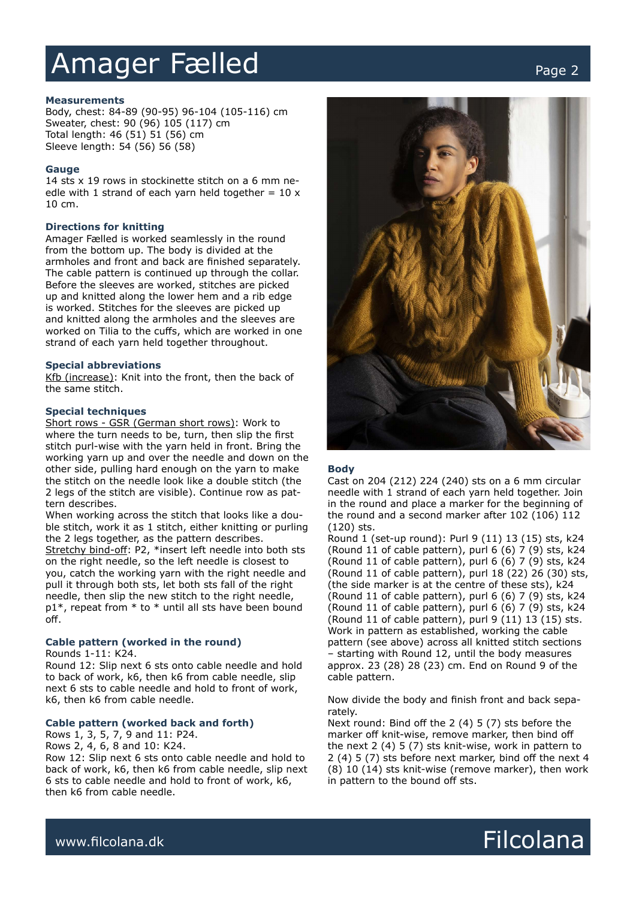# Amager Fælled Page 2

#### **Measurements**

Body, chest: 84-89 (90-95) 96-104 (105-116) cm Sweater, chest: 90 (96) 105 (117) cm Total length: 46 (51) 51 (56) cm Sleeve length: 54 (56) 56 (58)

#### **Gauge**

14 sts x 19 rows in stockinette stitch on a 6 mm needle with 1 strand of each yarn held together =  $10 x$ 10 cm.

#### **Directions for knitting**

Amager Fælled is worked seamlessly in the round from the bottom up. The body is divided at the armholes and front and back are finished separately. The cable pattern is continued up through the collar. Before the sleeves are worked, stitches are picked up and knitted along the lower hem and a rib edge is worked. Stitches for the sleeves are picked up and knitted along the armholes and the sleeves are worked on Tilia to the cuffs, which are worked in one strand of each yarn held together throughout.

#### **Special abbreviations**

Kfb (increase): Knit into the front, then the back of the same stitch.

#### **Special techniques**

Short rows - GSR (German short rows): Work to where the turn needs to be, turn, then slip the first stitch purl-wise with the yarn held in front. Bring the working yarn up and over the needle and down on the other side, pulling hard enough on the yarn to make the stitch on the needle look like a double stitch (the 2 legs of the stitch are visible). Continue row as pattern describes.

When working across the stitch that looks like a double stitch, work it as 1 stitch, either knitting or purling the 2 legs together, as the pattern describes. Stretchy bind-off: P2, \*insert left needle into both sts on the right needle, so the left needle is closest to you, catch the working yarn with the right needle and pull it through both sts, let both sts fall of the right needle, then slip the new stitch to the right needle, p1\*, repeat from \* to \* until all sts have been bound off.

# **Cable pattern (worked in the round)**

Rounds 1-11: K24.

Round 12: Slip next 6 sts onto cable needle and hold to back of work, k6, then k6 from cable needle, slip next 6 sts to cable needle and hold to front of work, k6, then k6 from cable needle.

# **Cable pattern (worked back and forth)**

Rows 1, 3, 5, 7, 9 and 11: P24.

Rows 2, 4, 6, 8 and 10: K24.

Row 12: Slip next 6 sts onto cable needle and hold to back of work, k6, then k6 from cable needle, slip next 6 sts to cable needle and hold to front of work, k6, then k6 from cable needle.



#### **Body**

Cast on 204 (212) 224 (240) sts on a 6 mm circular needle with 1 strand of each yarn held together. Join in the round and place a marker for the beginning of the round and a second marker after 102 (106) 112 (120) sts.

Round 1 (set-up round): Purl 9 (11) 13 (15) sts, k24 (Round 11 of cable pattern), purl 6 (6) 7 (9) sts, k24 (Round 11 of cable pattern), purl 6 (6) 7 (9) sts, k24 (Round 11 of cable pattern), purl 18 (22) 26 (30) sts, (the side marker is at the centre of these sts), k24 (Round 11 of cable pattern), purl 6 (6) 7 (9) sts, k24 (Round 11 of cable pattern), purl 6 (6) 7 (9) sts, k24 (Round 11 of cable pattern), purl 9 (11) 13 (15) sts. Work in pattern as established, working the cable pattern (see above) across all knitted stitch sections – starting with Round 12, until the body measures approx. 23 (28) 28 (23) cm. End on Round 9 of the cable pattern.

Now divide the body and finish front and back separately.

Next round: Bind off the 2 (4) 5 (7) sts before the marker off knit-wise, remove marker, then bind off the next 2 (4) 5 (7) sts knit-wise, work in pattern to 2 (4) 5 (7) sts before next marker, bind off the next 4 (8) 10 (14) sts knit-wise (remove marker), then work in pattern to the bound off sts.

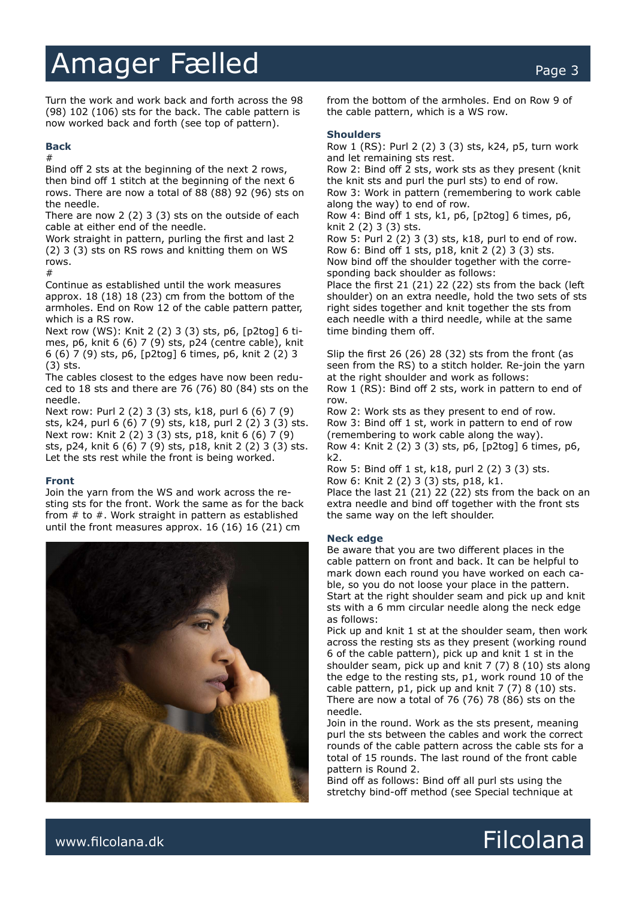# Amager Fælled Page 3

Turn the work and work back and forth across the 98 (98) 102 (106) sts for the back. The cable pattern is now worked back and forth (see top of pattern).

### **Back**

#

Bind off 2 sts at the beginning of the next 2 rows, then bind off 1 stitch at the beginning of the next 6 rows. There are now a total of 88 (88) 92 (96) sts on the needle.

There are now 2 (2) 3 (3) sts on the outside of each cable at either end of the needle.

Work straight in pattern, purling the first and last 2 (2) 3 (3) sts on RS rows and knitting them on WS rows. #

Continue as established until the work measures approx. 18 (18) 18 (23) cm from the bottom of the armholes. End on Row 12 of the cable pattern patter, which is a RS row.

Next row (WS): Knit 2 (2) 3 (3) sts, p6, [p2tog] 6 times, p6, knit 6 (6) 7 (9) sts, p24 (centre cable), knit 6 (6) 7 (9) sts, p6, [p2tog] 6 times, p6, knit 2 (2) 3 (3) sts.

The cables closest to the edges have now been reduced to 18 sts and there are 76 (76) 80 (84) sts on the needle.

Next row: Purl 2 (2) 3 (3) sts, k18, purl 6 (6) 7 (9) sts, k24, purl 6 (6) 7 (9) sts, k18, purl 2 (2) 3 (3) sts. Next row: Knit 2 (2) 3 (3) sts, p18, knit 6 (6) 7 (9) sts, p24, knit 6 (6) 7 (9) sts, p18, knit 2 (2) 3 (3) sts. Let the sts rest while the front is being worked.

# **Front**

Join the yarn from the WS and work across the resting sts for the front. Work the same as for the back from # to #. Work straight in pattern as established until the front measures approx. 16 (16) 16 (21) cm



from the bottom of the armholes. End on Row 9 of the cable pattern, which is a WS row.

# **Shoulders**

Row 1 (RS): Purl 2 (2) 3 (3) sts, k24, p5, turn work and let remaining sts rest.

Row 2: Bind off 2 sts, work sts as they present (knit the knit sts and purl the purl sts) to end of row. Row 3: Work in pattern (remembering to work cable along the way) to end of row.

Row 4: Bind off 1 sts, k1, p6, [p2tog] 6 times, p6, knit 2 (2) 3 (3) sts.

Row 5: Purl 2 (2) 3 (3) sts, k18, purl to end of row. Row 6: Bind off 1 sts, p18, knit 2 (2) 3 (3) sts. Now bind off the shoulder together with the corresponding back shoulder as follows:

Place the first 21 (21) 22 (22) sts from the back (left shoulder) on an extra needle, hold the two sets of sts right sides together and knit together the sts from each needle with a third needle, while at the same time binding them off.

Slip the first 26 (26) 28 (32) sts from the front (as seen from the RS) to a stitch holder. Re-join the yarn at the right shoulder and work as follows: Row 1 (RS): Bind off 2 sts, work in pattern to end of row.

Row 2: Work sts as they present to end of row. Row 3: Bind off 1 st, work in pattern to end of row (remembering to work cable along the way). Row 4: Knit 2 (2) 3 (3) sts, p6, [p2tog] 6 times, p6, k2.

Row 5: Bind off 1 st, k18, purl 2 (2) 3 (3) sts. Row 6: Knit 2 (2) 3 (3) sts, p18, k1.

Place the last 21 (21) 22 (22) sts from the back on an extra needle and bind off together with the front sts the same way on the left shoulder.

# **Neck edge**

Be aware that you are two different places in the cable pattern on front and back. It can be helpful to mark down each round you have worked on each cable, so you do not loose your place in the pattern. Start at the right shoulder seam and pick up and knit sts with a 6 mm circular needle along the neck edge as follows:

Pick up and knit 1 st at the shoulder seam, then work across the resting sts as they present (working round 6 of the cable pattern), pick up and knit 1 st in the shoulder seam, pick up and knit 7 (7) 8 (10) sts along the edge to the resting sts, p1, work round 10 of the cable pattern, p1, pick up and knit 7 (7) 8 (10) sts. There are now a total of 76 (76) 78 (86) sts on the needle.

Join in the round. Work as the sts present, meaning purl the sts between the cables and work the correct rounds of the cable pattern across the cable sts for a total of 15 rounds. The last round of the front cable pattern is Round 2.

Bind off as follows: Bind off all purl sts using the stretchy bind-off method (see Special technique at